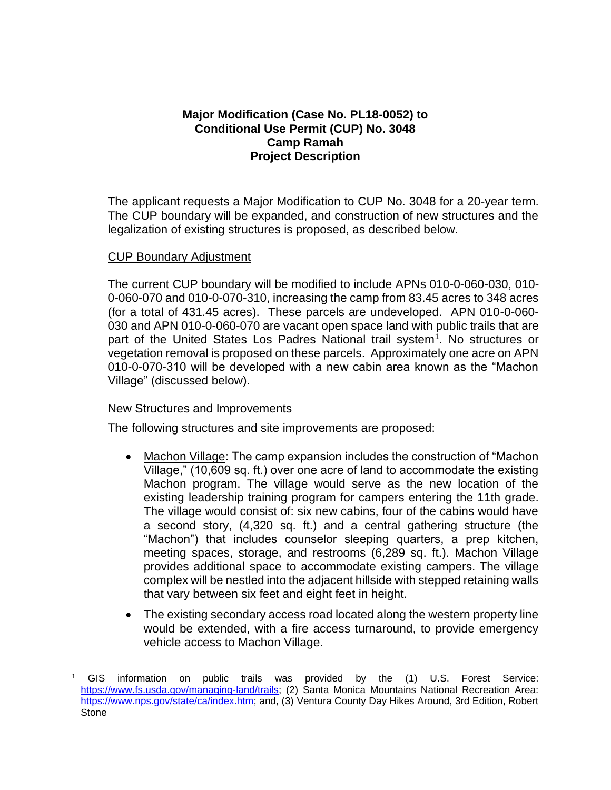# **Major Modification (Case No. PL18-0052) to Conditional Use Permit (CUP) No. 3048 Camp Ramah Project Description**

The applicant requests a Major Modification to CUP No. 3048 for a 20-year term. The CUP boundary will be expanded, and construction of new structures and the legalization of existing structures is proposed, as described below.

### CUP Boundary Adjustment

The current CUP boundary will be modified to include APNs 010-0-060-030, 010- 0-060-070 and 010-0-070-310, increasing the camp from 83.45 acres to 348 acres (for a total of 431.45 acres). These parcels are undeveloped. APN 010-0-060- 030 and APN 010-0-060-070 are vacant open space land with public trails that are part of the United States Los Padres National trail system<sup>1</sup>. No structures or vegetation removal is proposed on these parcels. Approximately one acre on APN 010-0-070-310 will be developed with a new cabin area known as the "Machon Village" (discussed below).

# New Structures and Improvements

The following structures and site improvements are proposed:

- Machon Village: The camp expansion includes the construction of "Machon Village," (10,609 sq. ft.) over one acre of land to accommodate the existing Machon program. The village would serve as the new location of the existing leadership training program for campers entering the 11th grade. The village would consist of: six new cabins, four of the cabins would have a second story, (4,320 sq. ft.) and a central gathering structure (the "Machon") that includes counselor sleeping quarters, a prep kitchen, meeting spaces, storage, and restrooms (6,289 sq. ft.). Machon Village provides additional space to accommodate existing campers. The village complex will be nestled into the adjacent hillside with stepped retaining walls that vary between six feet and eight feet in height.
- The existing secondary access road located along the western property line would be extended, with a fire access turnaround, to provide emergency vehicle access to Machon Village.

<sup>1</sup> GIS information on public trails was provided by the (1) U.S. Forest Service: [https://www.fs.usda.gov/managing-land/trails;](https://www.fs.usda.gov/managing-land/trails) (2) Santa Monica Mountains National Recreation Area: [https://www.nps.gov/state/ca/index.htm;](https://www.nps.gov/state/ca/index.htm) and, (3) Ventura County Day Hikes Around, 3rd Edition, Robert **Stone**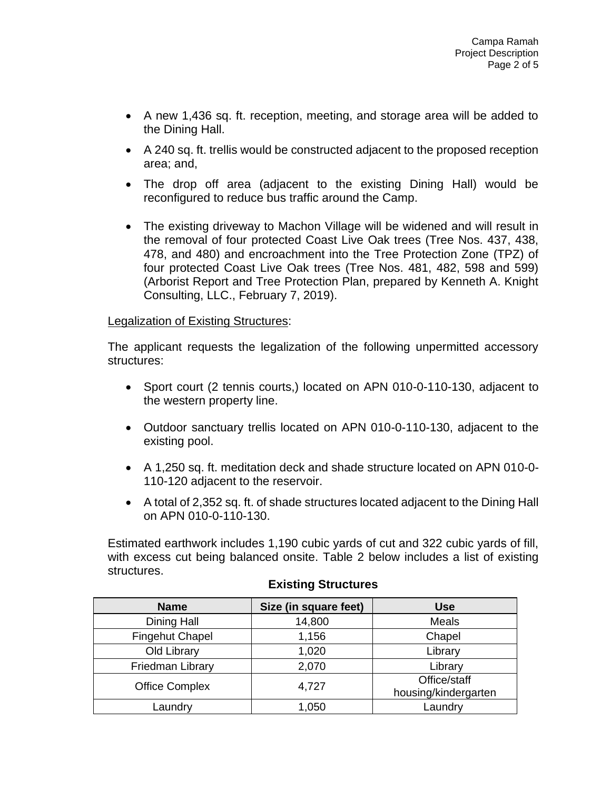- A new 1,436 sq. ft. reception, meeting, and storage area will be added to the Dining Hall.
- A 240 sq. ft. trellis would be constructed adjacent to the proposed reception area; and,
- The drop off area (adjacent to the existing Dining Hall) would be reconfigured to reduce bus traffic around the Camp.
- The existing driveway to Machon Village will be widened and will result in the removal of four protected Coast Live Oak trees (Tree Nos. 437, 438, 478, and 480) and encroachment into the Tree Protection Zone (TPZ) of four protected Coast Live Oak trees (Tree Nos. 481, 482, 598 and 599) (Arborist Report and Tree Protection Plan, prepared by Kenneth A. Knight Consulting, LLC., February 7, 2019).

### Legalization of Existing Structures:

The applicant requests the legalization of the following unpermitted accessory structures:

- Sport court (2 tennis courts,) located on APN 010-0-110-130, adjacent to the western property line.
- Outdoor sanctuary trellis located on APN 010-0-110-130, adjacent to the existing pool.
- A 1,250 sq. ft. meditation deck and shade structure located on APN 010-0- 110-120 adjacent to the reservoir.
- A total of 2,352 sq. ft. of shade structures located adjacent to the Dining Hall on APN 010-0-110-130.

Estimated earthwork includes 1,190 cubic yards of cut and 322 cubic yards of fill, with excess cut being balanced onsite. Table 2 below includes a list of existing structures.

| <b>Name</b>           | Size (in square feet) | <b>Use</b>                           |
|-----------------------|-----------------------|--------------------------------------|
| Dining Hall           | 14,800                | Meals                                |
| Fingehut Chapel       | 1,156                 | Chapel                               |
| Old Library           | 1,020                 | Library                              |
| Friedman Library      | 2,070                 | Library                              |
| <b>Office Complex</b> | 4,727                 | Office/staff<br>housing/kindergarten |
| Laundry               | 1,050                 | Laundry                              |

# **Existing Structures**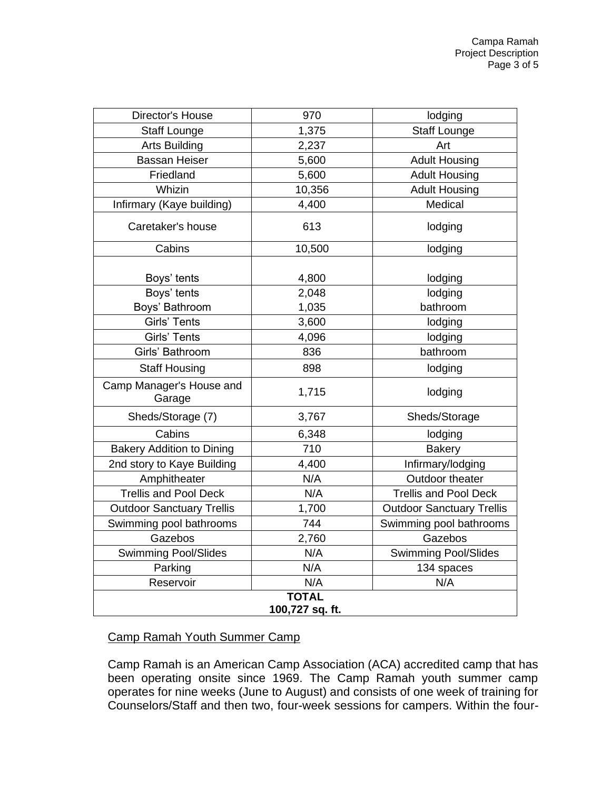| Director's House                   | 970    | lodging                          |  |  |
|------------------------------------|--------|----------------------------------|--|--|
| <b>Staff Lounge</b>                | 1,375  | <b>Staff Lounge</b>              |  |  |
| <b>Arts Building</b>               | 2,237  | Art                              |  |  |
| <b>Bassan Heiser</b>               | 5,600  | <b>Adult Housing</b>             |  |  |
| Friedland                          | 5,600  | <b>Adult Housing</b>             |  |  |
| Whizin                             | 10,356 | <b>Adult Housing</b>             |  |  |
| Infirmary (Kaye building)          | 4,400  | Medical                          |  |  |
| Caretaker's house                  | 613    | lodging                          |  |  |
| Cabins                             | 10,500 | lodging                          |  |  |
|                                    |        |                                  |  |  |
| Boys' tents                        | 4,800  | lodging                          |  |  |
| Boys' tents                        | 2,048  | lodging                          |  |  |
| Boys' Bathroom                     | 1,035  | bathroom                         |  |  |
| <b>Girls' Tents</b>                | 3,600  | lodging                          |  |  |
| <b>Girls' Tents</b>                | 4,096  | lodging                          |  |  |
| Girls' Bathroom                    | 836    | bathroom                         |  |  |
| <b>Staff Housing</b>               | 898    | lodging                          |  |  |
| Camp Manager's House and<br>Garage | 1,715  | lodging                          |  |  |
| Sheds/Storage (7)                  | 3,767  | Sheds/Storage                    |  |  |
| Cabins                             | 6,348  | lodging                          |  |  |
| <b>Bakery Addition to Dining</b>   | 710    | <b>Bakery</b>                    |  |  |
| 2nd story to Kaye Building         | 4,400  | Infirmary/lodging                |  |  |
| Amphitheater                       | N/A    | Outdoor theater                  |  |  |
| <b>Trellis and Pool Deck</b>       | N/A    | <b>Trellis and Pool Deck</b>     |  |  |
| <b>Outdoor Sanctuary Trellis</b>   | 1,700  | <b>Outdoor Sanctuary Trellis</b> |  |  |
| Swimming pool bathrooms            | 744    | Swimming pool bathrooms          |  |  |
| Gazebos                            | 2,760  | Gazebos                          |  |  |
| <b>Swimming Pool/Slides</b>        | N/A    | <b>Swimming Pool/Slides</b>      |  |  |
| Parking                            | N/A    | 134 spaces                       |  |  |
| Reservoir                          | N/A    | N/A                              |  |  |
| <b>TOTAL</b>                       |        |                                  |  |  |
| 100,727 sq. ft.                    |        |                                  |  |  |

# Camp Ramah Youth Summer Camp

Camp Ramah is an American Camp Association (ACA) accredited camp that has been operating onsite since 1969. The Camp Ramah youth summer camp operates for nine weeks (June to August) and consists of one week of training for Counselors/Staff and then two, four-week sessions for campers. Within the four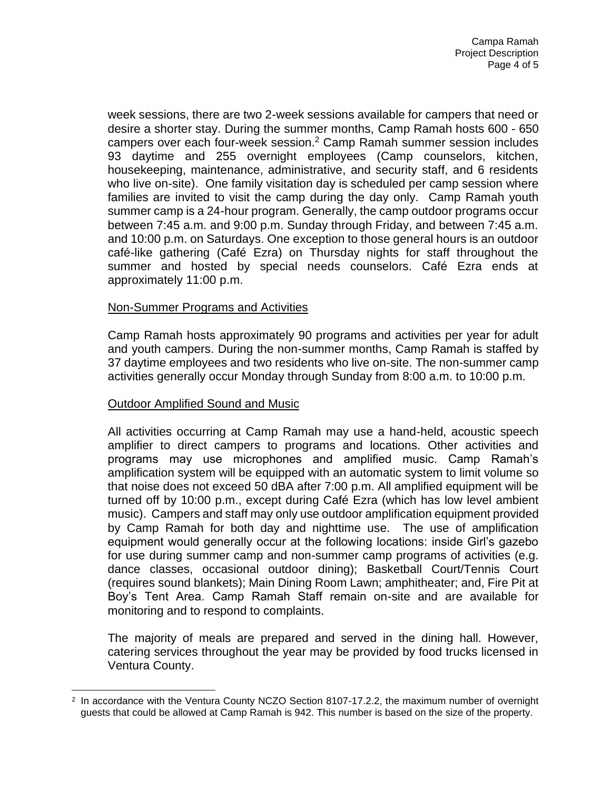week sessions, there are two 2-week sessions available for campers that need or desire a shorter stay. During the summer months, Camp Ramah hosts 600 - 650 campers over each four-week session.<sup>2</sup> Camp Ramah summer session includes 93 daytime and 255 overnight employees (Camp counselors, kitchen, housekeeping, maintenance, administrative, and security staff, and 6 residents who live on-site). One family visitation day is scheduled per camp session where families are invited to visit the camp during the day only. Camp Ramah youth summer camp is a 24-hour program. Generally, the camp outdoor programs occur between 7:45 a.m. and 9:00 p.m. Sunday through Friday, and between 7:45 a.m. and 10:00 p.m. on Saturdays. One exception to those general hours is an outdoor café-like gathering (Café Ezra) on Thursday nights for staff throughout the summer and hosted by special needs counselors. Café Ezra ends at approximately 11:00 p.m.

### Non-Summer Programs and Activities

Camp Ramah hosts approximately 90 programs and activities per year for adult and youth campers. During the non-summer months, Camp Ramah is staffed by 37 daytime employees and two residents who live on-site. The non-summer camp activities generally occur Monday through Sunday from 8:00 a.m. to 10:00 p.m.

# Outdoor Amplified Sound and Music

All activities occurring at Camp Ramah may use a hand-held, acoustic speech amplifier to direct campers to programs and locations. Other activities and programs may use microphones and amplified music. Camp Ramah's amplification system will be equipped with an automatic system to limit volume so that noise does not exceed 50 dBA after 7:00 p.m. All amplified equipment will be turned off by 10:00 p.m., except during Café Ezra (which has low level ambient music). Campers and staff may only use outdoor amplification equipment provided by Camp Ramah for both day and nighttime use. The use of amplification equipment would generally occur at the following locations: inside Girl's gazebo for use during summer camp and non-summer camp programs of activities (e.g. dance classes, occasional outdoor dining); Basketball Court/Tennis Court (requires sound blankets); Main Dining Room Lawn; amphitheater; and, Fire Pit at Boy's Tent Area. Camp Ramah Staff remain on-site and are available for monitoring and to respond to complaints.

The majority of meals are prepared and served in the dining hall. However, catering services throughout the year may be provided by food trucks licensed in Ventura County.

<sup>&</sup>lt;sup>2</sup> In accordance with the Ventura County NCZO Section 8107-17.2.2, the maximum number of overnight guests that could be allowed at Camp Ramah is 942. This number is based on the size of the property.